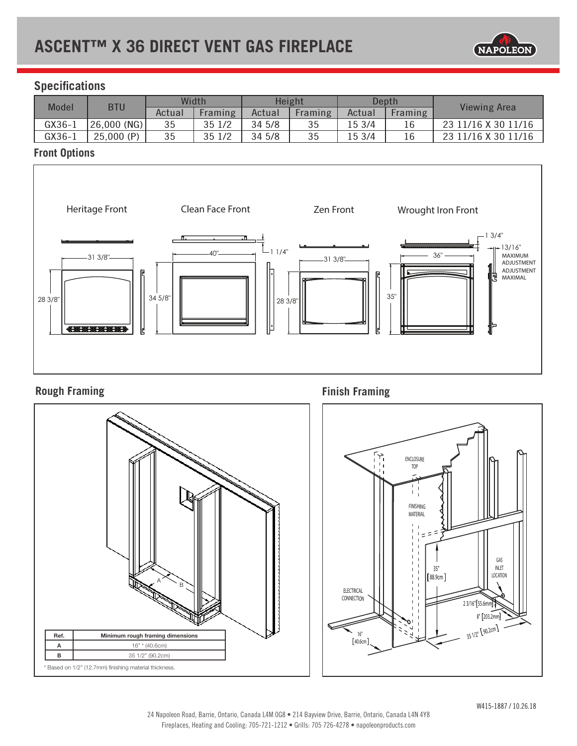

# **Specifications**

| Model      | <b>BTU</b>     | Width  |         | Height |         | Depth  |         |                     |
|------------|----------------|--------|---------|--------|---------|--------|---------|---------------------|
|            |                | Actual | Framing | Actual | Framing | Actual | Framing | <b>Viewing Area</b> |
| $GX36 - 1$ | $'26,000$ (NG) | 35     | 35 1/2  | 34 5/8 | 35      | 15 3/4 |         | 23 11/16 X 30 11/16 |
| GX36-1     | 25,000(P)      | 35     | 35 1/2  | 34 5/8 | 35      | 15 3/4 |         | 23 11/16 X 30 11/16 |

# **Front Options**



# **Rough Framing**



**Finish Framing**

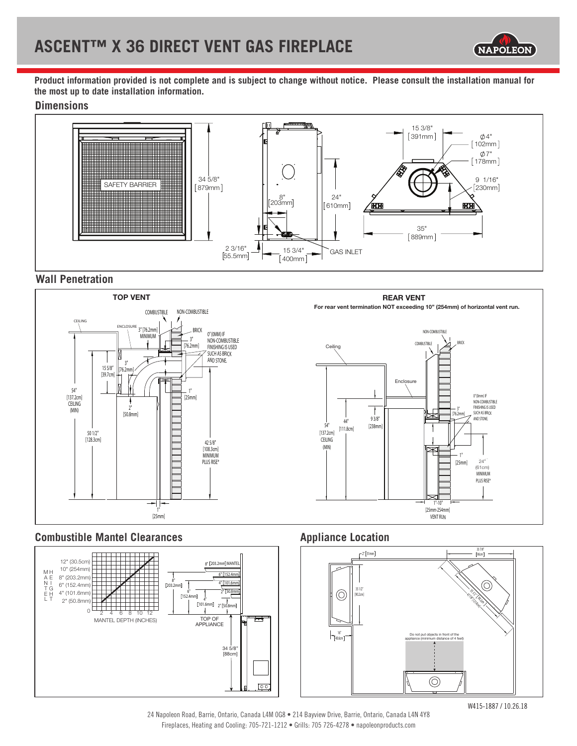

**Product information provided is not complete and is subject to change without notice. Please consult the installation manual for the most up to date installation information.**

#### **Dimensions**



#### **Wall Penetration**



#### **Combustible Mantel Clearances Appliance Location**





24 Napoleon Road, Barrie, Ontario, Canada L4M 0G8 • 214 Bayview Drive, Barrie, Ontario, Canada L4N 4Y8 Fireplaces, Heating and Cooling: 705-721-1212 • Grills: 705 726-4278 • napoleonproducts.com

W415-1887 / 10.26.18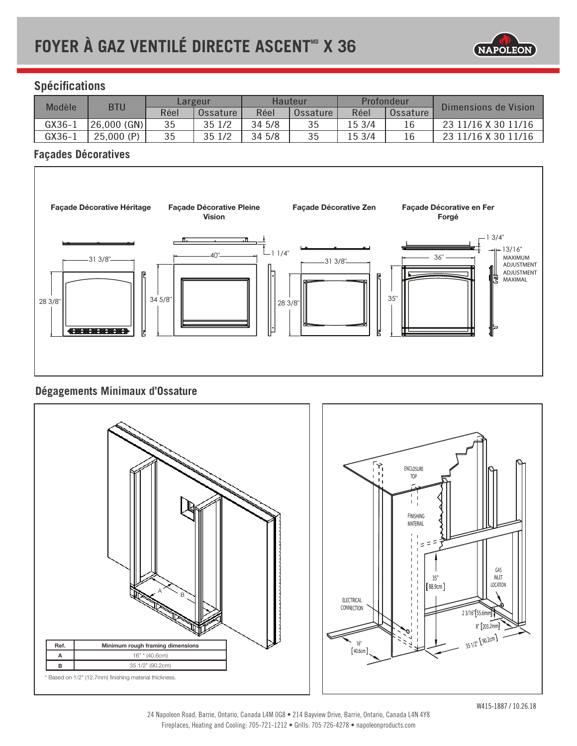

# **Spécifications**

| Modèle   | <b>BTU</b>  | Largeur |          | Hauteur |          | Profondeur |          | Dimensions de Vision |
|----------|-------------|---------|----------|---------|----------|------------|----------|----------------------|
|          |             | Réel    | Ossature | Réel    | Ossature | Réel       | Ossature |                      |
| GX36-1   | 26,000 (GN) | 35      | 35 1/2   | 34 5/8  |          | 15 3/4     | 16       | 23 11/16 X 30 11/16  |
| $GX36-1$ | 25,000(P)   | 35      | 35 1/2   | 34 5/8  | 35       | 15 3/4     |          | 23 11/16 X 30 11/16  |

### **Façades Décoratives**



# **Dégagements Minimaux d'Ossature**